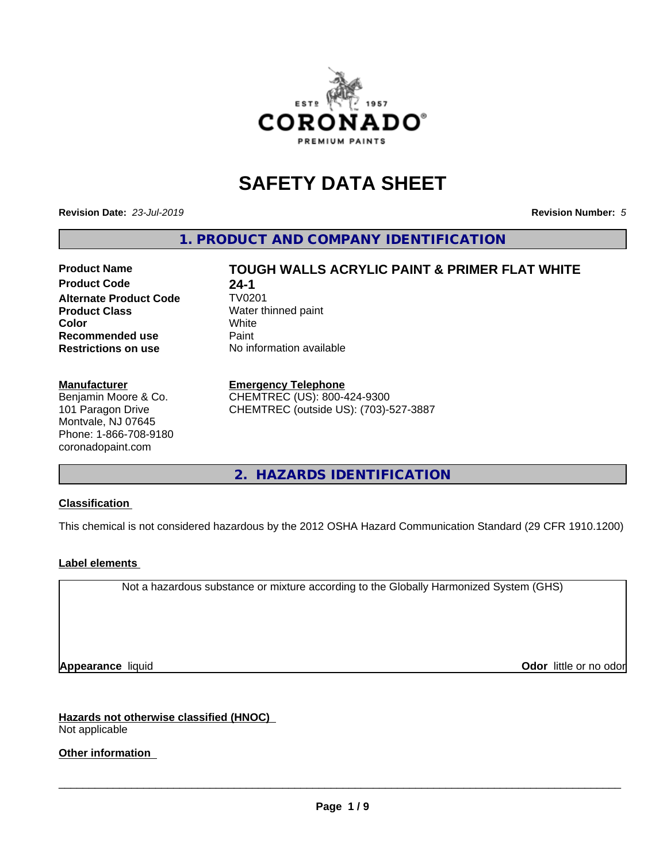

# **SAFETY DATA SHEET**

**Revision Date:** *23-Jul-2019* **Revision Number:** *5*

**1. PRODUCT AND COMPANY IDENTIFICATION**

# **Product Code 24-1**<br>**Alternate Product Code 7V0201 Alternate Product Code Product Class** Water thinned paint<br> **Color** White **Color** White White **Recommended use** Paint **Restrictions on use** No information available

# **Manufacturer**

Benjamin Moore & Co. 101 Paragon Drive Montvale, NJ 07645 Phone: 1-866-708-9180 coronadopaint.com

# **Product Name TOUGH WALLS ACRYLIC PAINT & PRIMER FLAT WHITE**

#### **Emergency Telephone**

CHEMTREC (US): 800-424-9300 CHEMTREC (outside US): (703)-527-3887

**2. HAZARDS IDENTIFICATION**

## **Classification**

This chemical is not considered hazardous by the 2012 OSHA Hazard Communication Standard (29 CFR 1910.1200)

## **Label elements**

Not a hazardous substance or mixture according to the Globally Harmonized System (GHS)

**Appearance** liquid **Contract Contract Contract Contract Contract Contract Contract Contract Contract Contract Contract Contract Contract Contract Contract Contract Contract Contract Contract Contract Contract Contract Con** 

**Hazards not otherwise classified (HNOC)** Not applicable

**Other information**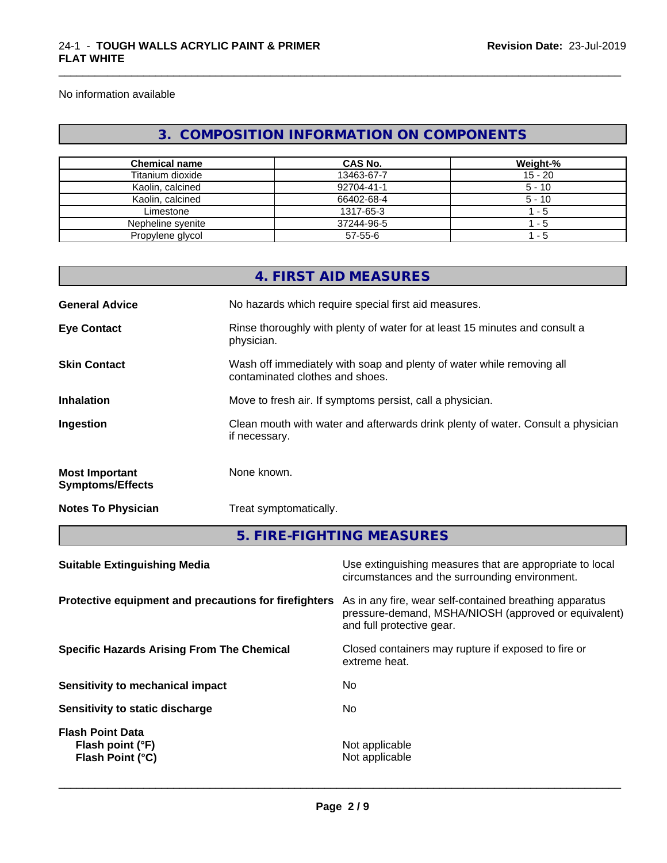No information available

# **3. COMPOSITION INFORMATION ON COMPONENTS**

\_\_\_\_\_\_\_\_\_\_\_\_\_\_\_\_\_\_\_\_\_\_\_\_\_\_\_\_\_\_\_\_\_\_\_\_\_\_\_\_\_\_\_\_\_\_\_\_\_\_\_\_\_\_\_\_\_\_\_\_\_\_\_\_\_\_\_\_\_\_\_\_\_\_\_\_\_\_\_\_\_\_\_\_\_\_\_\_\_\_\_\_\_

| <b>Chemical name</b> | <b>CAS No.</b> | Weight-%  |
|----------------------|----------------|-----------|
| Titanium dioxide     | 13463-67-7     | $15 - 20$ |
| Kaolin, calcined     | 92704-41-1     | $5 - 10$  |
| Kaolin, calcined     | 66402-68-4     | $5 - 10$  |
| Limestone            | 1317-65-3      | - 5       |
| Nepheline syenite    | 37244-96-5     | - 5       |
| Propylene glycol     | 57-55-6        | - 5       |

|                                                  | 4. FIRST AID MEASURES                                                                                    |
|--------------------------------------------------|----------------------------------------------------------------------------------------------------------|
| <b>General Advice</b>                            | No hazards which require special first aid measures.                                                     |
| <b>Eye Contact</b>                               | Rinse thoroughly with plenty of water for at least 15 minutes and consult a<br>physician.                |
| <b>Skin Contact</b>                              | Wash off immediately with soap and plenty of water while removing all<br>contaminated clothes and shoes. |
| <b>Inhalation</b>                                | Move to fresh air. If symptoms persist, call a physician.                                                |
| Ingestion                                        | Clean mouth with water and afterwards drink plenty of water. Consult a physician<br>if necessary.        |
| <b>Most Important</b><br><b>Symptoms/Effects</b> | None known.                                                                                              |
| <b>Notes To Physician</b>                        | Treat symptomatically.                                                                                   |
|                                                  | E FIDE FIQUEINO ME MOUDEC                                                                                |

**5. FIRE-FIGHTING MEASURES**

| Use extinguishing measures that are appropriate to local<br>circumstances and the surrounding environment.                                   |
|----------------------------------------------------------------------------------------------------------------------------------------------|
| As in any fire, wear self-contained breathing apparatus<br>pressure-demand, MSHA/NIOSH (approved or equivalent)<br>and full protective gear. |
| Closed containers may rupture if exposed to fire or<br>extreme heat.                                                                         |
| No                                                                                                                                           |
| No.                                                                                                                                          |
| Not applicable<br>Not applicable                                                                                                             |
|                                                                                                                                              |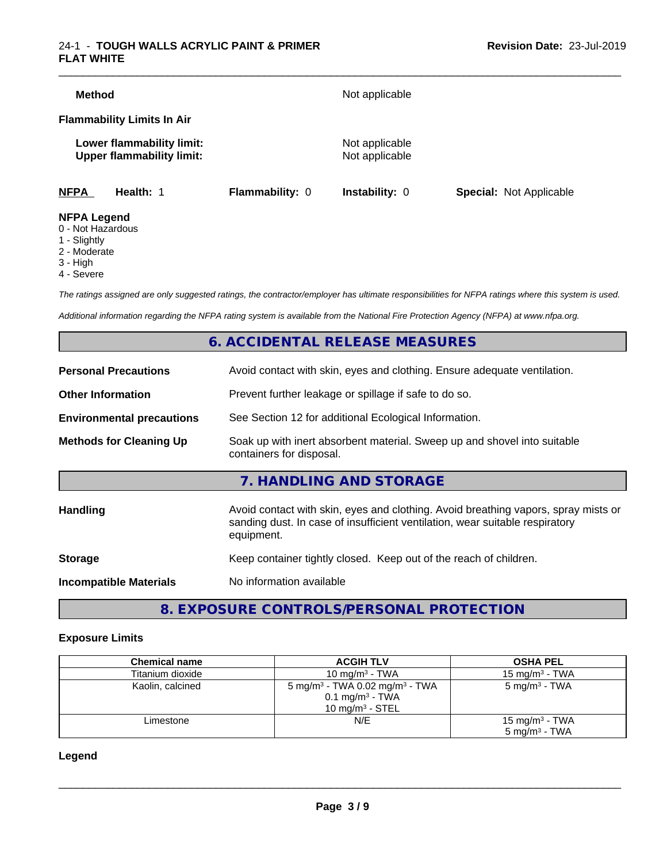## 24-1 - **TOUGH WALLS ACRYLIC PAINT & PRIMER FLAT WHITE**

| <b>Method</b>                           |                                                               |                        | Not applicable                   |                                |
|-----------------------------------------|---------------------------------------------------------------|------------------------|----------------------------------|--------------------------------|
|                                         | <b>Flammability Limits In Air</b>                             |                        |                                  |                                |
|                                         | Lower flammability limit:<br><b>Upper flammability limit:</b> |                        | Not applicable<br>Not applicable |                                |
| <b>NFPA</b>                             | Health: 1                                                     | <b>Flammability: 0</b> | <b>Instability: 0</b>            | <b>Special: Not Applicable</b> |
| <b>NFPA Legend</b><br>0 - Not Hazardous |                                                               |                        |                                  |                                |

- 1 Slightly
- 2 Moderate
- 3 High
- 4 Severe

*The ratings assigned are only suggested ratings, the contractor/employer has ultimate responsibilities for NFPA ratings where this system is used.*

*Additional information regarding the NFPA rating system is available from the National Fire Protection Agency (NFPA) at www.nfpa.org.*

# **6. ACCIDENTAL RELEASE MEASURES**

| <b>Personal Precautions</b>      | Avoid contact with skin, eyes and clothing. Ensure adequate ventilation.                                                                                                         |
|----------------------------------|----------------------------------------------------------------------------------------------------------------------------------------------------------------------------------|
| <b>Other Information</b>         | Prevent further leakage or spillage if safe to do so.                                                                                                                            |
| <b>Environmental precautions</b> | See Section 12 for additional Ecological Information.                                                                                                                            |
| <b>Methods for Cleaning Up</b>   | Soak up with inert absorbent material. Sweep up and shovel into suitable<br>containers for disposal.                                                                             |
|                                  | 7. HANDLING AND STORAGE                                                                                                                                                          |
| Handling                         | Avoid contact with skin, eyes and clothing. Avoid breathing vapors, spray mists or<br>sanding dust. In case of insufficient ventilation, wear suitable respiratory<br>equipment. |
| <b>Storage</b>                   | Keep container tightly closed. Keep out of the reach of children.                                                                                                                |
| <b>Incompatible Materials</b>    | No information available                                                                                                                                                         |
|                                  |                                                                                                                                                                                  |

# **8. EXPOSURE CONTROLS/PERSONAL PROTECTION**

#### **Exposure Limits**

| <b>Chemical name</b> | <b>ACGIH TLV</b>                                                                                              | <b>OSHA PEL</b>                                        |
|----------------------|---------------------------------------------------------------------------------------------------------------|--------------------------------------------------------|
| Titanium dioxide     | 10 mg/m $3$ - TWA                                                                                             | 15 mg/m $3$ - TWA                                      |
| Kaolin, calcined     | 5 mg/m <sup>3</sup> - TWA 0.02 mg/m <sup>3</sup> - TWA<br>$0.1$ mg/m <sup>3</sup> - TWA<br>10 mg/m $3$ - STEL | 5 mg/m <sup>3</sup> - TWA                              |
| Limestone            | N/E                                                                                                           | 15 mg/m <sup>3</sup> - TWA<br>$5 \text{ ma/m}^3$ - TWA |

**Legend**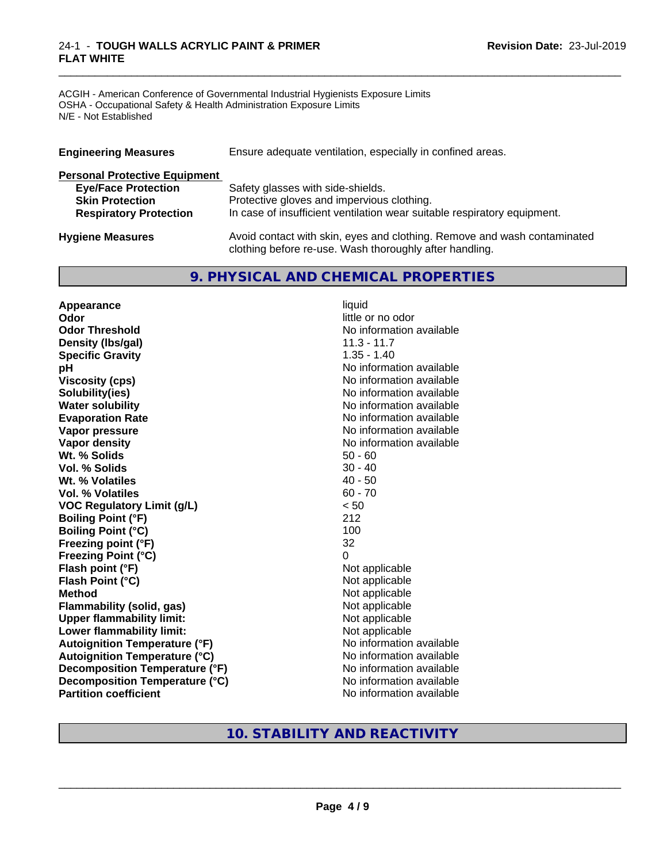#### 24-1 - **TOUGH WALLS ACRYLIC PAINT & PRIMER FLAT WHITE**

ACGIH - American Conference of Governmental Industrial Hygienists Exposure Limits OSHA - Occupational Safety & Health Administration Exposure Limits N/E - Not Established

| <b>Engineering Measures</b>          | Ensure adequate ventilation, especially in confined areas.               |  |  |  |  |
|--------------------------------------|--------------------------------------------------------------------------|--|--|--|--|
| <b>Personal Protective Equipment</b> |                                                                          |  |  |  |  |
| <b>Eye/Face Protection</b>           | Safety glasses with side-shields.                                        |  |  |  |  |
| <b>Skin Protection</b>               | Protective gloves and impervious clothing.                               |  |  |  |  |
| <b>Respiratory Protection</b>        | In case of insufficient ventilation wear suitable respiratory equipment. |  |  |  |  |
| <b>Hygiene Measures</b>              | Avoid contact with skin, eyes and clothing. Remove and wash contaminated |  |  |  |  |

clothing before re-use. Wash thoroughly after handling.

\_\_\_\_\_\_\_\_\_\_\_\_\_\_\_\_\_\_\_\_\_\_\_\_\_\_\_\_\_\_\_\_\_\_\_\_\_\_\_\_\_\_\_\_\_\_\_\_\_\_\_\_\_\_\_\_\_\_\_\_\_\_\_\_\_\_\_\_\_\_\_\_\_\_\_\_\_\_\_\_\_\_\_\_\_\_\_\_\_\_\_\_\_

# **9. PHYSICAL AND CHEMICAL PROPERTIES**

**Appearance** liquid **Odor** little or no odor **Odor Threshold** No information available **Density (lbs/gal)** 11.3 - 11.7 **Specific Gravity** 1.35 - 1.40 **pH pH**  $\blacksquare$ **Viscosity (cps)** No information available **Solubility(ies)** No information available **Water solubility** No information available **Evaporation Rate No information available No information available Vapor pressure** No information available **Vapor density**<br> **We Solids**<br>
We Solids
2019<br>
Me Solids
2019<br>
Me Solids
2019<br>
Me Solids
2019<br>
Me Solids
2019 **Wt. % Solids** 50 - 60<br> **Vol. % Solids** 30 - 40 **Vol. % Solids Wt. % Volatiles** 40 - 50 **Vol. % Volatiles** 60 - 70 **VOC Regulatory Limit (g/L)** < 50 **Boiling Point (°F)** 212 **Boiling Point (°C)** 100 **Freezing point (°F)** 32 **Freezing Point (°C)** 0 **Flash point (°F)** Not applicable **Flash Point (°C)** Not applicable **Method**<br> **Flammability (solid, gas)**<br> **Commability (solid, gas)**<br>
Mot applicable **Flammability** (solid, gas) **Upper flammability limit:**<br> **Lower flammability limit:** Not applicable Not applicable **Lower flammability limit:**<br> **Autoignition Temperature (°F)** Not applicable available and the Mustafable and Mustafable and Mustafable and Mu **Autoignition Temperature (°F) Autoignition Temperature (°C)** No information available **Decomposition Temperature (°F)** No information available **Decomposition Temperature (°C)** No information available **Partition coefficient** No information available

# **10. STABILITY AND REACTIVITY**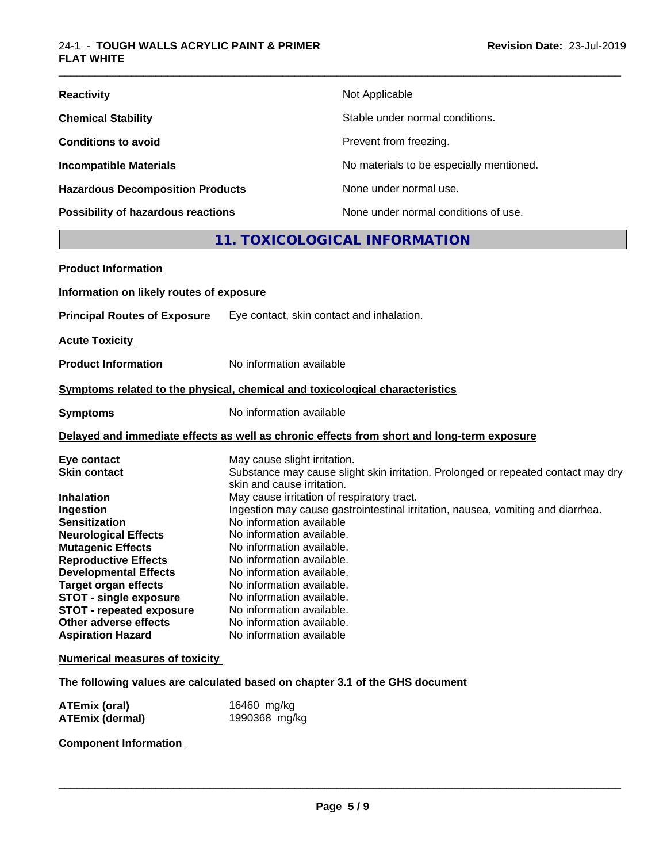| <b>Reactivity</b>                         | Not Applicable                           |
|-------------------------------------------|------------------------------------------|
| <b>Chemical Stability</b>                 | Stable under normal conditions.          |
| <b>Conditions to avoid</b>                | Prevent from freezing.                   |
| <b>Incompatible Materials</b>             | No materials to be especially mentioned. |
| <b>Hazardous Decomposition Products</b>   | None under normal use.                   |
| <b>Possibility of hazardous reactions</b> | None under normal conditions of use.     |

# **11. TOXICOLOGICAL INFORMATION**

\_\_\_\_\_\_\_\_\_\_\_\_\_\_\_\_\_\_\_\_\_\_\_\_\_\_\_\_\_\_\_\_\_\_\_\_\_\_\_\_\_\_\_\_\_\_\_\_\_\_\_\_\_\_\_\_\_\_\_\_\_\_\_\_\_\_\_\_\_\_\_\_\_\_\_\_\_\_\_\_\_\_\_\_\_\_\_\_\_\_\_\_\_

| <b>Product Information</b>                                                                                                                                                                                                                                                                                                                                                     |                                                                                                                                                                                                                                                                                                                                                                                                                                                                                                                                                                                  |
|--------------------------------------------------------------------------------------------------------------------------------------------------------------------------------------------------------------------------------------------------------------------------------------------------------------------------------------------------------------------------------|----------------------------------------------------------------------------------------------------------------------------------------------------------------------------------------------------------------------------------------------------------------------------------------------------------------------------------------------------------------------------------------------------------------------------------------------------------------------------------------------------------------------------------------------------------------------------------|
| Information on likely routes of exposure                                                                                                                                                                                                                                                                                                                                       |                                                                                                                                                                                                                                                                                                                                                                                                                                                                                                                                                                                  |
| <b>Principal Routes of Exposure</b>                                                                                                                                                                                                                                                                                                                                            | Eye contact, skin contact and inhalation.                                                                                                                                                                                                                                                                                                                                                                                                                                                                                                                                        |
| <b>Acute Toxicity</b>                                                                                                                                                                                                                                                                                                                                                          |                                                                                                                                                                                                                                                                                                                                                                                                                                                                                                                                                                                  |
| <b>Product Information</b>                                                                                                                                                                                                                                                                                                                                                     | No information available                                                                                                                                                                                                                                                                                                                                                                                                                                                                                                                                                         |
|                                                                                                                                                                                                                                                                                                                                                                                | Symptoms related to the physical, chemical and toxicological characteristics                                                                                                                                                                                                                                                                                                                                                                                                                                                                                                     |
| <b>Symptoms</b>                                                                                                                                                                                                                                                                                                                                                                | No information available                                                                                                                                                                                                                                                                                                                                                                                                                                                                                                                                                         |
|                                                                                                                                                                                                                                                                                                                                                                                | Delayed and immediate effects as well as chronic effects from short and long-term exposure                                                                                                                                                                                                                                                                                                                                                                                                                                                                                       |
| Eye contact<br><b>Skin contact</b><br><b>Inhalation</b><br>Ingestion<br><b>Sensitization</b><br><b>Neurological Effects</b><br><b>Mutagenic Effects</b><br><b>Reproductive Effects</b><br><b>Developmental Effects</b><br><b>Target organ effects</b><br><b>STOT - single exposure</b><br><b>STOT - repeated exposure</b><br>Other adverse effects<br><b>Aspiration Hazard</b> | May cause slight irritation.<br>Substance may cause slight skin irritation. Prolonged or repeated contact may dry<br>skin and cause irritation.<br>May cause irritation of respiratory tract.<br>Ingestion may cause gastrointestinal irritation, nausea, vomiting and diarrhea.<br>No information available<br>No information available.<br>No information available.<br>No information available.<br>No information available.<br>No information available.<br>No information available.<br>No information available.<br>No information available.<br>No information available |
| <b>Numerical measures of toxicity</b>                                                                                                                                                                                                                                                                                                                                          |                                                                                                                                                                                                                                                                                                                                                                                                                                                                                                                                                                                  |
|                                                                                                                                                                                                                                                                                                                                                                                | The following values are calculated based on chapter 3.1 of the GHS document                                                                                                                                                                                                                                                                                                                                                                                                                                                                                                     |
| <b>ATEmix (oral)</b><br><b>ATEmix (dermal)</b>                                                                                                                                                                                                                                                                                                                                 | 16460 mg/kg<br>1990368 mg/kg                                                                                                                                                                                                                                                                                                                                                                                                                                                                                                                                                     |

**Component Information**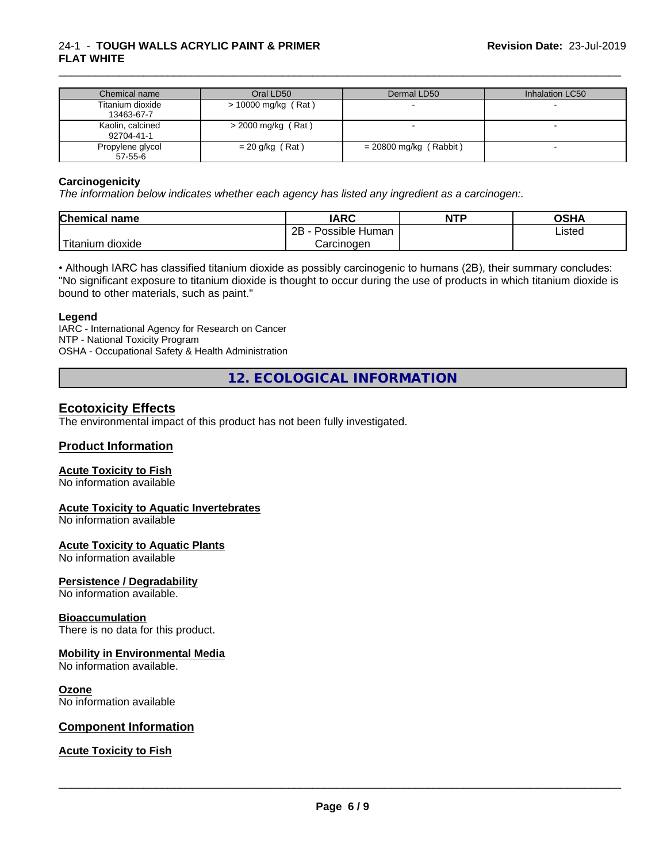### 24-1 - **TOUGH WALLS ACRYLIC PAINT & PRIMER FLAT WHITE**

| Chemical name                  | Oral LD50            | Dermal LD50            | Inhalation LC50 |
|--------------------------------|----------------------|------------------------|-----------------|
| Titanium dioxide<br>13463-67-7 | > 10000 mg/kg (Rat)  |                        |                 |
| Kaolin, calcined<br>92704-41-1 | $>$ 2000 mg/kg (Rat) |                        |                 |
| Propylene glycol<br>57-55-6    | $= 20$ g/kg (Rat)    | = 20800 mg/kg (Rabbit) |                 |

\_\_\_\_\_\_\_\_\_\_\_\_\_\_\_\_\_\_\_\_\_\_\_\_\_\_\_\_\_\_\_\_\_\_\_\_\_\_\_\_\_\_\_\_\_\_\_\_\_\_\_\_\_\_\_\_\_\_\_\_\_\_\_\_\_\_\_\_\_\_\_\_\_\_\_\_\_\_\_\_\_\_\_\_\_\_\_\_\_\_\_\_\_

#### **Carcinogenicity**

*The information below indicateswhether each agency has listed any ingredient as a carcinogen:.*

| <b>Chemical</b><br>name   | <b>IARC</b>                    | <b>NTP</b> | <b>OSHA</b> |
|---------------------------|--------------------------------|------------|-------------|
|                           | .<br>2B<br>: Human<br>Possible |            | Listed      |
| dioxide<br><b>itanium</b> | Carcinoɑen                     |            |             |

• Although IARC has classified titanium dioxide as possibly carcinogenic to humans (2B), their summary concludes: "No significant exposure to titanium dioxide is thought to occur during the use of products in which titanium dioxide is bound to other materials, such as paint."

#### **Legend**

IARC - International Agency for Research on Cancer NTP - National Toxicity Program OSHA - Occupational Safety & Health Administration

**12. ECOLOGICAL INFORMATION**

## **Ecotoxicity Effects**

The environmental impact of this product has not been fully investigated.

## **Product Information**

#### **Acute Toxicity to Fish**

No information available

#### **Acute Toxicity to Aquatic Invertebrates**

No information available

#### **Acute Toxicity to Aquatic Plants**

No information available

#### **Persistence / Degradability**

No information available.

#### **Bioaccumulation**

There is no data for this product.

#### **Mobility in Environmental Media**

No information available.

#### **Ozone**

No information available

#### **Component Information**

#### **Acute Toxicity to Fish**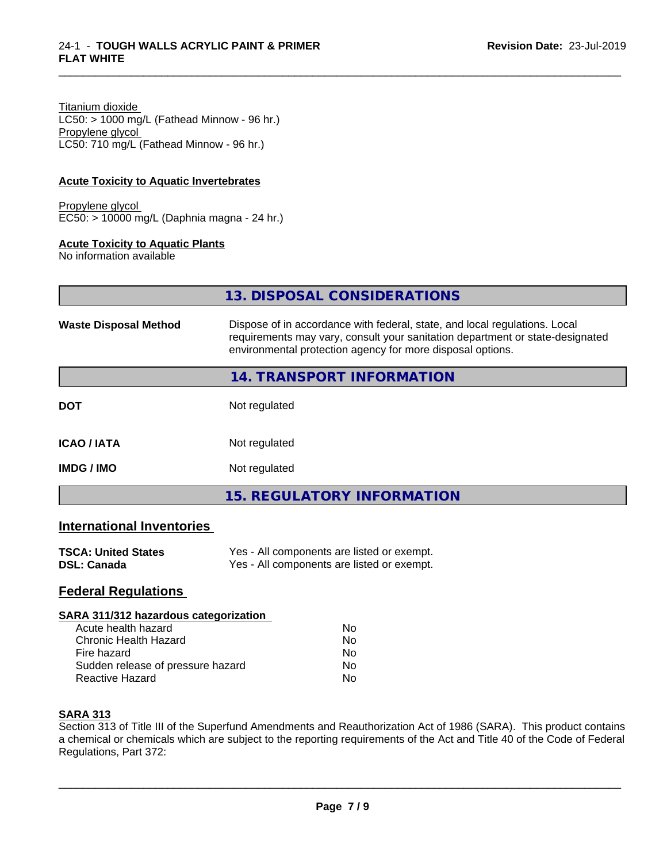Titanium dioxide  $LC50:$  > 1000 mg/L (Fathead Minnow - 96 hr.) Propylene glycol LC50: 710 mg/L (Fathead Minnow - 96 hr.)

#### **Acute Toxicity to Aquatic Invertebrates**

Propylene glycol EC50: > 10000 mg/L (Daphnia magna - 24 hr.)

#### **Acute Toxicity to Aquatic Plants**

No information available

| 13. DISPOSAL CONSIDERATIONS |  |
|-----------------------------|--|
|                             |  |

\_\_\_\_\_\_\_\_\_\_\_\_\_\_\_\_\_\_\_\_\_\_\_\_\_\_\_\_\_\_\_\_\_\_\_\_\_\_\_\_\_\_\_\_\_\_\_\_\_\_\_\_\_\_\_\_\_\_\_\_\_\_\_\_\_\_\_\_\_\_\_\_\_\_\_\_\_\_\_\_\_\_\_\_\_\_\_\_\_\_\_\_\_

| <b>Waste Disposal Method</b> | Dispose of in accordance with federal, state, and local regulations. Local<br>requirements may vary, consult your sanitation department or state-designated<br>environmental protection agency for more disposal options. |  |
|------------------------------|---------------------------------------------------------------------------------------------------------------------------------------------------------------------------------------------------------------------------|--|
|                              | <b>14. TRANSPORT INFORMATION</b>                                                                                                                                                                                          |  |
| <b>DOT</b>                   | Not regulated                                                                                                                                                                                                             |  |
| <b>ICAO / IATA</b>           | Not regulated                                                                                                                                                                                                             |  |
| <b>IMDG / IMO</b>            | Not regulated                                                                                                                                                                                                             |  |
|                              | <b>15. REGULATORY INFORMATION</b>                                                                                                                                                                                         |  |

## **International Inventories**

| <b>TSCA: United States</b> | Yes - All components are listed or exempt. |
|----------------------------|--------------------------------------------|
| DSL: Canada                | Yes - All components are listed or exempt. |

## **Federal Regulations**

#### **SARA 311/312 hazardous categorization**

| Acute health hazard               | Nο |  |
|-----------------------------------|----|--|
| Chronic Health Hazard             | N٥ |  |
| Fire hazard                       | N٥ |  |
| Sudden release of pressure hazard | Nο |  |
| Reactive Hazard                   | N٥ |  |

#### **SARA 313**

Section 313 of Title III of the Superfund Amendments and Reauthorization Act of 1986 (SARA). This product contains a chemical or chemicals which are subject to the reporting requirements of the Act and Title 40 of the Code of Federal Regulations, Part 372: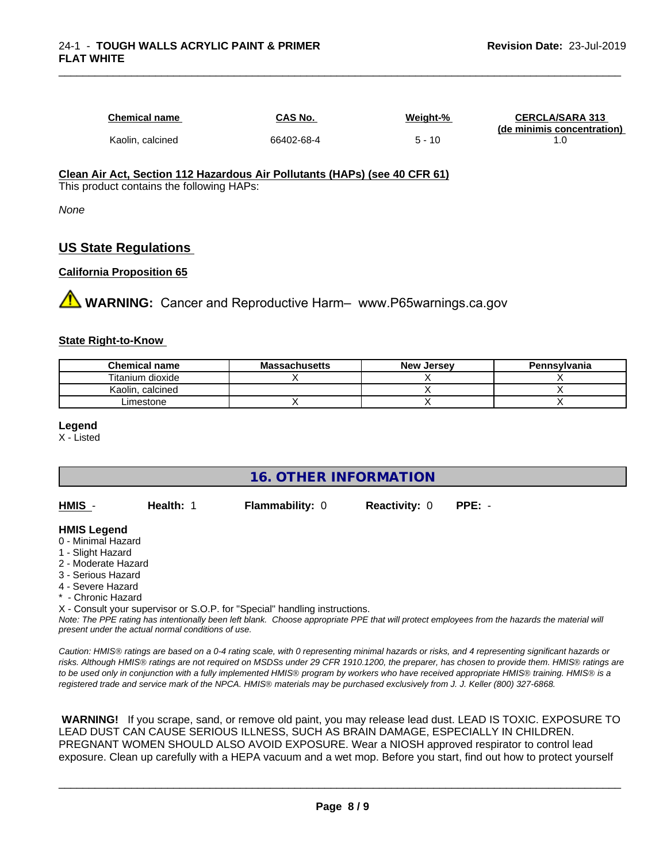| <b>Chemical name</b> | CAS No.    | Weight-% | <b>CERCLA/SARA 313</b><br>(de minimis concentration) |
|----------------------|------------|----------|------------------------------------------------------|
| Kaolin, calcined     | 66402-68-4 | -10      |                                                      |

\_\_\_\_\_\_\_\_\_\_\_\_\_\_\_\_\_\_\_\_\_\_\_\_\_\_\_\_\_\_\_\_\_\_\_\_\_\_\_\_\_\_\_\_\_\_\_\_\_\_\_\_\_\_\_\_\_\_\_\_\_\_\_\_\_\_\_\_\_\_\_\_\_\_\_\_\_\_\_\_\_\_\_\_\_\_\_\_\_\_\_\_\_

#### **Clean Air Act,Section 112 Hazardous Air Pollutants (HAPs) (see 40 CFR 61)** This product contains the following HAPs:

*None*

# **US State Regulations**

## **California Proposition 65**

**WARNING:** Cancer and Reproductive Harm– www.P65warnings.ca.gov

#### **State Right-to-Know**

| <b>Chemical name</b> | <b>Massachusetts</b> | <b>New Jersey</b> | Pennsylvania |
|----------------------|----------------------|-------------------|--------------|
| Titanium dioxide     |                      |                   |              |
| Kaolin<br>. calcined |                      |                   |              |
| Limestone            |                      |                   |              |

#### **Legend**

X - Listed

## **16. OTHER INFORMATION**

| HMIS - | Health: | <b>Flammability: 0</b> | Reactivity: 0 PPE: - |  |
|--------|---------|------------------------|----------------------|--|
|        |         |                        |                      |  |

#### **HMIS Legend**

- 0 Minimal Hazard
- 1 Slight Hazard
- 2 Moderate Hazard
- 3 Serious Hazard
- 4 Severe Hazard
- Chronic Hazard

X - Consult your supervisor or S.O.P. for "Special" handling instructions.

*Note: The PPE rating has intentionally been left blank. Choose appropriate PPE that will protect employees from the hazards the material will present under the actual normal conditions of use.*

*Caution: HMISÒ ratings are based on a 0-4 rating scale, with 0 representing minimal hazards or risks, and 4 representing significant hazards or risks. Although HMISÒ ratings are not required on MSDSs under 29 CFR 1910.1200, the preparer, has chosen to provide them. HMISÒ ratings are to be used only in conjunction with a fully implemented HMISÒ program by workers who have received appropriate HMISÒ training. HMISÒ is a registered trade and service mark of the NPCA. HMISÒ materials may be purchased exclusively from J. J. Keller (800) 327-6868.*

 **WARNING!** If you scrape, sand, or remove old paint, you may release lead dust. LEAD IS TOXIC. EXPOSURE TO LEAD DUST CAN CAUSE SERIOUS ILLNESS, SUCH AS BRAIN DAMAGE, ESPECIALLY IN CHILDREN. PREGNANT WOMEN SHOULD ALSO AVOID EXPOSURE. Wear a NIOSH approved respirator to control lead exposure. Clean up carefully with a HEPA vacuum and a wet mop. Before you start, find out how to protect yourself